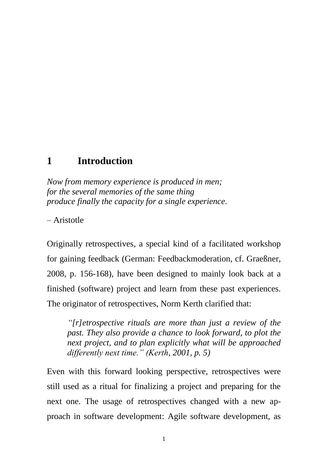## **1 Introduction**

*Now from memory experience is produced in men; for the several memories of the same thing produce finally the capacity for a single experience.*

– Aristotle

Originally retrospectives, a special kind of a facilitated workshop for gaining feedback (German: Feedbackmoderation, cf. Graeßner, 2008, p. 156-168), have been designed to mainly look back at a finished (software) project and learn from these past experiences. The originator of retrospectives, Norm Kerth clarified that:

*"[r]etrospective rituals are more than just a review of the past. They also provide a chance to look forward, to plot the next project, and to plan explicitly what will be approached differently next time." (Kerth, 2001, p. 5)*

Even with this forward looking perspective, retrospectives were still used as a ritual for finalizing a project and preparing for the next one. The usage of retrospectives changed with a new approach in software development: Agile software development, as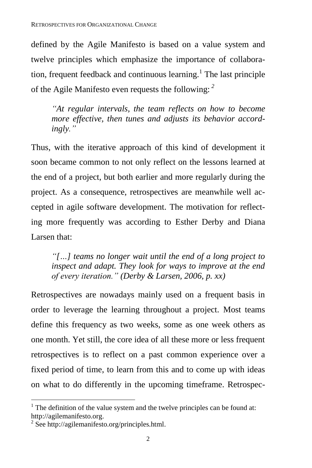defined by the Agile Manifesto is based on a value system and twelve principles which emphasize the importance of collaboration, frequent feedback and continuous learning. 1 The last principle of the Agile Manifesto even requests the following: *<sup>2</sup>*

*"At regular intervals, the team reflects on how to become more effective, then tunes and adjusts its behavior accordingly."*

Thus, with the iterative approach of this kind of development it soon became common to not only reflect on the lessons learned at the end of a project, but both earlier and more regularly during the project. As a consequence, retrospectives are meanwhile well accepted in agile software development. The motivation for reflecting more frequently was according to Esther Derby and Diana Larsen that:

*"[…] teams no longer wait until the end of a long project to inspect and adapt. They look for ways to improve at the end of every iteration." (Derby & Larsen, 2006, p. xx)*

Retrospectives are nowadays mainly used on a frequent basis in order to leverage the learning throughout a project. Most teams define this frequency as two weeks, some as one week others as one month. Yet still, the core idea of all these more or less frequent retrospectives is to reflect on a past common experience over a fixed period of time, to learn from this and to come up with ideas on what to do differently in the upcoming timeframe. Retrospec-

 $\overline{a}$ 

 $1$ <sup>1</sup>. The definition of the value system and the twelve principles can be found at: http://agilemanifesto.org.

<sup>&</sup>lt;sup>2</sup> See http://agilemanifesto.org/principles.html.